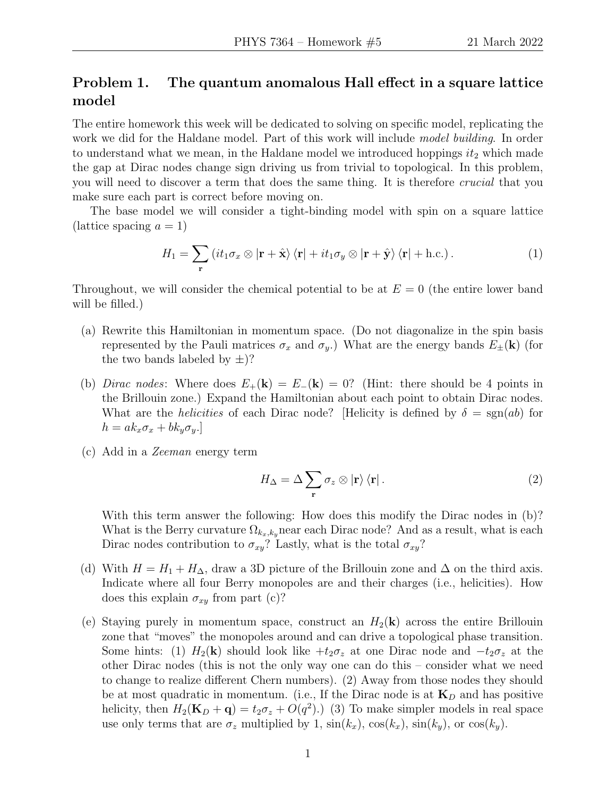## Problem 1. The quantum anomalous Hall effect in a square lattice model

The entire homework this week will be dedicated to solving on specific model, replicating the work we did for the Haldane model. Part of this work will include model building. In order to understand what we mean, in the Haldane model we introduced hoppings  $it_2$  which made the gap at Dirac nodes change sign driving us from trivial to topological. In this problem, you will need to discover a term that does the same thing. It is therefore *crucial* that you make sure each part is correct before moving on.

The base model we will consider a tight-binding model with spin on a square lattice (lattice spacing  $a = 1$ )

<span id="page-0-0"></span>
$$
H_1 = \sum_{\mathbf{r}} \left( it_1 \sigma_x \otimes |\mathbf{r} + \hat{\mathbf{x}} \rangle \langle \mathbf{r}| + it_1 \sigma_y \otimes |\mathbf{r} + \hat{\mathbf{y}} \rangle \langle \mathbf{r}| + \text{h.c.} \right). \tag{1}
$$

Throughout, we will consider the chemical potential to be at  $E = 0$  (the entire lower band will be filled.)

- (a) Rewrite this Hamiltonian in momentum space. (Do not diagonalize in the spin basis represented by the Pauli matrices  $\sigma_x$  and  $\sigma_y$ .) What are the energy bands  $E_{\pm}(\mathbf{k})$  (for the two bands labeled by  $\pm$ )?
- (b) Dirac nodes: Where does  $E_+(\mathbf{k}) = E_-(\mathbf{k}) = 0$ ? (Hint: there should be 4 points in the Brillouin zone.) Expand the Hamiltonian about each point to obtain Dirac nodes. What are the *helicities* of each Dirac node? [Helicity is defined by  $\delta = \text{sgn}(ab)$  for  $h = ak_x \sigma_x + bk_y \sigma_y.$
- (c) Add in a Zeeman energy term

<span id="page-0-1"></span>
$$
H_{\Delta} = \Delta \sum_{\mathbf{r}} \sigma_z \otimes |\mathbf{r}\rangle \langle \mathbf{r}|.
$$
 (2)

With this term answer the following: How does this modify the Dirac nodes in (b)? What is the Berry curvature  $\Omega_{k_x,k_y}$  near each Dirac node? And as a result, what is each Dirac nodes contribution to  $\sigma_{xy}$ ? Lastly, what is the total  $\sigma_{xy}$ ?

- (d) With  $H = H_1 + H_\Delta$ , draw a 3D picture of the Brillouin zone and  $\Delta$  on the third axis. Indicate where all four Berry monopoles are and their charges (i.e., helicities). How does this explain  $\sigma_{xy}$  from part (c)?
- (e) Staying purely in momentum space, construct an  $H_2(\mathbf{k})$  across the entire Brillouin zone that "moves" the monopoles around and can drive a topological phase transition. Some hints: (1)  $H_2(\mathbf{k})$  should look like  $+t_2\sigma_z$  at one Dirac node and  $-t_2\sigma_z$  at the other Dirac nodes (this is not the only way one can do this – consider what we need to change to realize different Chern numbers). (2) Away from those nodes they should be at most quadratic in momentum. (i.e., If the Dirac node is at  $\mathbf{K}_D$  and has positive helicity, then  $H_2(\mathbf{K}_D + \mathbf{q}) = t_2 \sigma_z + O(q^2)$ .) (3) To make simpler models in real space use only terms that are  $\sigma_z$  multiplied by 1,  $\sin(k_x)$ ,  $\cos(k_x)$ ,  $\sin(k_y)$ , or  $\cos(k_y)$ .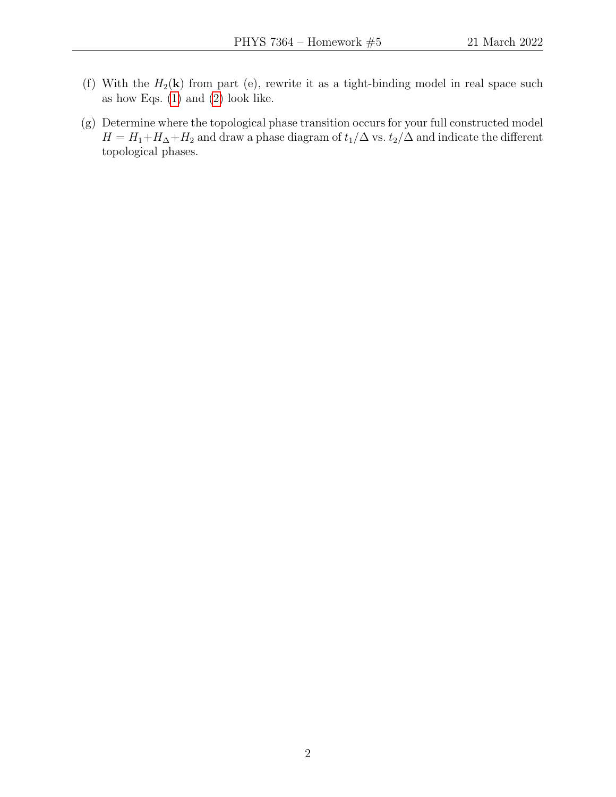- (f) With the  $H_2(\mathbf{k})$  from part (e), rewrite it as a tight-binding model in real space such as how Eqs. [\(1\)](#page-0-0) and [\(2\)](#page-0-1) look like.
- (g) Determine where the topological phase transition occurs for your full constructed model  $H = H_1 + H_\Delta + H_2$  and draw a phase diagram of  $t_1/\Delta$  vs.  $t_2/\Delta$  and indicate the different topological phases.